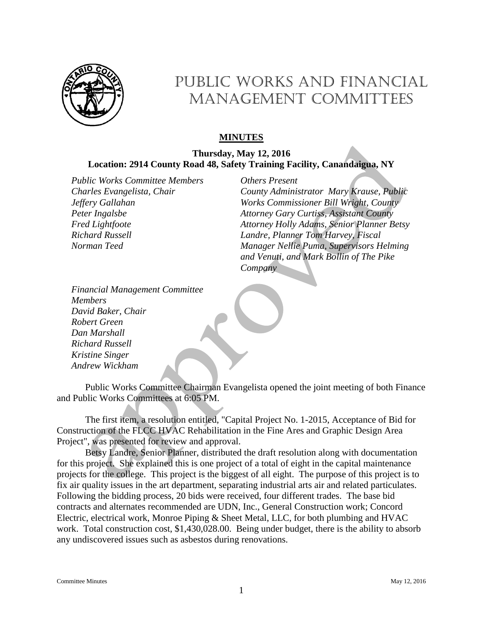

# Public Works and Financial MANAGEMENT COMMITTEES

## **MINUTES**

### **Thursday, May 12, 2016 Location: 2914 County Road 48, Safety Training Facility, Canandaigua, NY**

*Public Works Committee Members Others Present Charles Evangelista, Chair Jeffery Gallahan Peter Ingalsbe Fred Lightfoote Richard Russell Norman Teed*

*County Administrator Mary Krause, Public Works Commissioner Bill Wright, County Attorney Gary Curtiss, Assistant County Attorney Holly Adams, Senior Planner Betsy Landre, Planner Tom Harvey, Fiscal Manager Nellie Puma, Supervisors Helming and Venuti, and Mark Bollin of The Pike Company*

*Financial Management Committee Members David Baker, Chair Robert Green Dan Marshall Richard Russell Kristine Singer Andrew Wickham*

Public Works Committee Chairman Evangelista opened the joint meeting of both Finance and Public Works Committees at 6:05 PM.

The first item, a resolution entitled, "Capital Project No. 1-2015, Acceptance of Bid for Construction of the FLCC HVAC Rehabilitation in the Fine Ares and Graphic Design Area Project", was presented for review and approval.

Betsy Landre, Senior Planner, distributed the draft resolution along with documentation for this project. She explained this is one project of a total of eight in the capital maintenance projects for the college. This project is the biggest of all eight. The purpose of this project is to fix air quality issues in the art department, separating industrial arts air and related particulates. Following the bidding process, 20 bids were received, four different trades. The base bid contracts and alternates recommended are UDN, Inc., General Construction work; Concord Electric, electrical work, Monroe Piping & Sheet Metal, LLC, for both plumbing and HVAC work. Total construction cost, \$1,430,028.00. Being under budget, there is the ability to absorb any undiscovered issues such as asbestos during renovations.